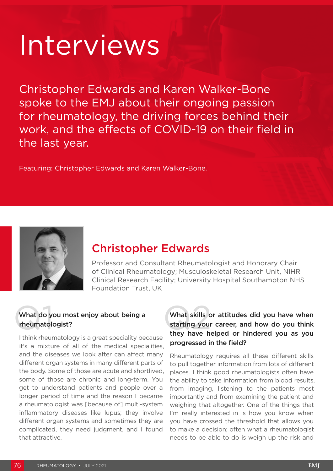# Interviews

Christopher Edwards and Karen Walker-Bone spoke to the EMJ about their ongoing passion for rheumatology, the driving forces behind their work, and the effects of COVID-19 on their field in the last year.

Featuring: Christopher Edwards and Karen Walker-Bone.



# Christopher Edwards

Professor and Consultant Rheumatologist and Honorary Chair of Clinical Rheumatology; Musculoskeletal Research Unit, NIHR Clinical Research Facility; University Hospital Southampton NHS Foundation Trust, UK

## What do you What do you most enjoy about being a rheumatologist?

I think rheumatology is a great speciality because it's a mixture of all of the medical specialities, and the diseases we look after can affect many different organ systems in many different parts of the body. Some of those are acute and shortlived, some of those are chronic and long-term. You get to understand patients and people over a longer period of time and the reason I became a rheumatologist was [because of] multi-system inflammatory diseases like lupus; they involve different organ systems and sometimes they are complicated, they need judgment, and I found that attractive.

### What skills or attitudes did you have when starting your career, and how do you think they have helped or hindered you as you progressed in the field?

Rheumatology requires all these different skills to pull together information from lots of different places. I think good rheumatologists often have the ability to take information from blood results, from imaging, listening to the patients most importantly and from examining the patient and weighing that altogether. One of the things that I'm really interested in is how you know when you have crossed the threshold that allows you to make a decision; often what a rheumatologist needs to be able to do is weigh up the risk and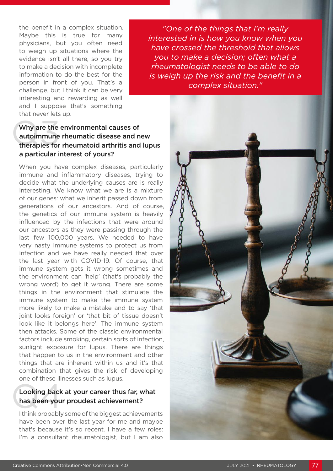the benefit in a complex situation. Maybe this is true for many physicians, but you often need to weigh up situations where the evidence isn't all there, so you try to make a decision with incomplete information to do the best for the person in front of you. That's a challenge, but I think it can be very interesting and rewarding as well and I suppose that's something that never lets up.

*"One of the things that I'm really interested in is how you know when you have crossed the threshold that allows you to make a decision; often what a rheumatologist needs to be able to do is weigh up the risk and the benefit in a complex situation."*



#### Why are the<br>autoimmune<br>therapies for Why are the environmental causes of autoimmune rheumatic disease and new therapies for rheumatoid arthritis and lupus a particular interest of yours?

When you have complex diseases, particularly immune and inflammatory diseases, trying to decide what the underlying causes are is really interesting. We know what we are is a mixture of our genes: what we inherit passed down from generations of our ancestors. And of course, the genetics of our immune system is heavily influenced by the infections that were around our ancestors as they were passing through the last few 100,000 years. We needed to have very nasty immune systems to protect us from infection and we have really needed that over the last year with COVID-19. Of course, that immune system gets it wrong sometimes and the environment can 'help' (that's probably the wrong word) to get it wrong. There are some things in the environment that stimulate the immune system to make the immune system more likely to make a mistake and to say 'that joint looks foreign' or 'that bit of tissue doesn't look like it belongs here'. The immune system then attacks. Some of the classic environmental factors include smoking, certain sorts of infection, sunlight exposure for lupus. There are things that happen to us in the environment and other things that are inherent within us and it's that combination that gives the risk of developing one of these illnesses such as lupus.

## Looking back<br>has been you Looking back at your career thus far, what has been your proudest achievement?

I think probably some of the biggest achievements have been over the last year for me and maybe that's because it's so recent. I have a few roles: I'm a consultant rheumatologist, but I am also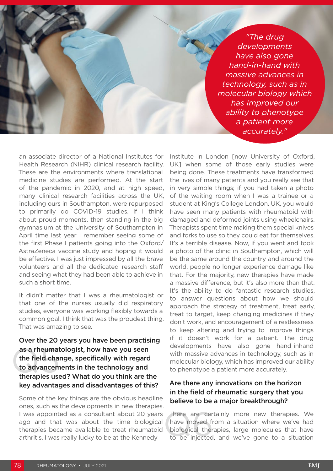*"The drug developments have also gone hand-in-hand with massive advances in technology, such as in molecular biology which has improved our ability to phenotype a patient more accurately."* 

an associate director of a National Institutes for Health Research (NIHR) clinical research facility. These are the environments where translational medicine studies are performed. At the start of the pandemic in 2020, and at high speed, many clinical research facilities across the UK, including ours in Southampton, were repurposed to primarily do COVID-19 studies. If I think about proud moments, then standing in the big gymnasium at the University of Southampton in April time last year I remember seeing some of the first Phase I patients going into the Oxford/ AstraZeneca vaccine study and hoping it would be effective. I was just impressed by all the brave volunteers and all the dedicated research staff and seeing what they had been able to achieve in such a short time.

It didn't matter that I was a rheumatologist or that one of the nurses usually did respiratory studies, everyone was working flexibly towards a common goal. I think that was the proudest thing. That was amazing to see.

as a rheumat<br>the field chai<br>to advancem<br>therapies use Over the 20 years you have been practising as a rheumatologist, how have you seen the field change, specifically with regard to advancements in the technology and therapies used? What do you think are the key advantages and disadvantages of this?

Some of the key things are the obvious headline ones, such as the developments in new therapies. I was appointed as a consultant about 20 years ago and that was about the time biological therapies became available to treat rheumatoid arthritis. I was really lucky to be at the Kennedy

Institute in London [now University of Oxford, UK] when some of those early studies were being done. These treatments have transformed the lives of many patients and you really see that in very simple things; if you had taken a photo of the waiting room when I was a trainee or a student at King's College London, UK, you would have seen many patients with rheumatoid with damaged and deformed joints using wheelchairs. Therapists spent time making them special knives and forks to use so they could eat for themselves. It's a terrible disease. Now, if you went and took a photo of the clinic in Southampton, which will be the same around the country and around the world, people no longer experience damage like that. For the majority, new therapies have made a massive difference, but it's also more than that. It's the ability to do fantastic research studies, to answer questions about how we should approach the strategy of treatment, treat early, treat to target, keep changing medicines if they don't work, and encouragement of a restlessness to keep altering and trying to improve things if it doesn't work for a patient. The drug developments have also gone hand-inhand with massive advances in technology, such as in molecular biology, which has improved our ability to phenotype a patient more accurately.

#### Are there any innovations on the horizon in the field of rheumatic surgery that you believe to be a major breakthrough?

There are certainly more new therapies. We have moved from a situation where we've had biological therapies, large molecules that have to be injected, and we've gone to a situation have moved from a situation where we've had biological therapies, large molecules that have to be injected, and we've gone to a situation